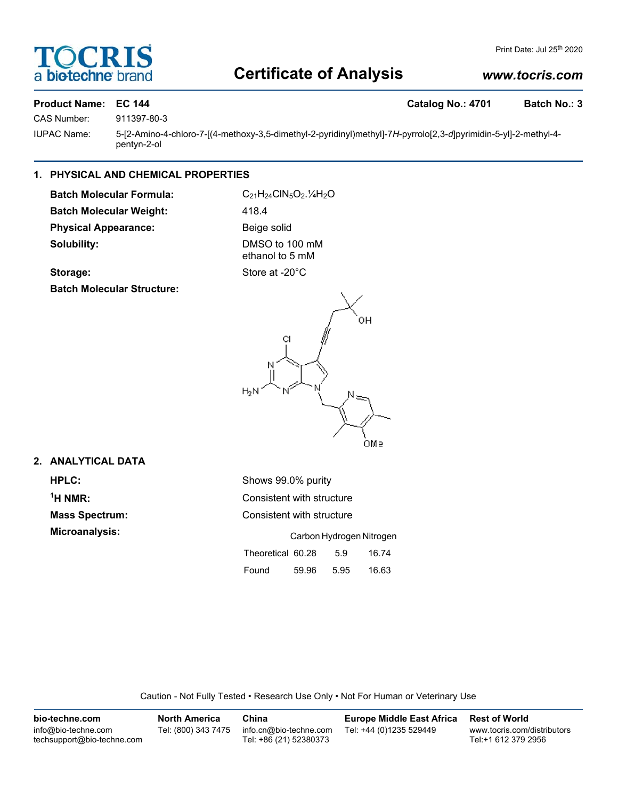# **DCRI** a biotechne

## Print Date: Jul 25<sup>th</sup> 2020

## **Certificate of Analysis**

## *www.tocris.com*

## Product Name: EC 144 **Catalog No.: 4701** Batch No.: 3

CAS Number: 911397-80-3

IUPAC Name: 5-[2-Amino-4-chloro-7-[(4-methoxy-3,5-dimethyl-2-pyridinyl)methyl]-7*H*-pyrrolo[2,3-*d*]pyrimidin-5-yl]-2-methyl-4 pentyn-2-ol

## **1. PHYSICAL AND CHEMICAL PROPERTIES**

**Batch Molecular Formula:** C<sub>21</sub>H<sub>24</sub>ClN<sub>5</sub>O<sub>2</sub>.<sup>1</sup>/<sub>4</sub>H<sub>2</sub>O **Batch Molecular Weight:** 418.4 Physical Appearance: Beige solid **Solubility:** DMSO to 100 mM

ethanol to 5 mM Storage: Store at -20°C

**Batch Molecular Structure:**



## **2. ANALYTICAL DATA**

**Mass Spectrum: Microanalysis:** 

| <b>HPLC:</b>            | Shows 99.0% purity       |                           |       |  |  |  |
|-------------------------|--------------------------|---------------------------|-------|--|--|--|
| $\mathrm{{}^{1}H}$ NMR: |                          | Consistent with structure |       |  |  |  |
| <b>Mass Spectrum:</b>   |                          | Consistent with structure |       |  |  |  |
| Microanalysis:          | Carbon Hydrogen Nitrogen |                           |       |  |  |  |
|                         | Theoretical 60.28        | 5.9                       | 16.74 |  |  |  |
|                         | Found<br>59.96           | 5.95                      | 16.63 |  |  |  |
|                         |                          |                           |       |  |  |  |

Caution - Not Fully Tested • Research Use Only • Not For Human or Veterinary Use

| bio-techne.com                                    | <b>North America</b> | China                                            | <b>Europe Middle East Africa</b> | <b>Rest of World</b>                               |
|---------------------------------------------------|----------------------|--------------------------------------------------|----------------------------------|----------------------------------------------------|
| info@bio-techne.com<br>techsupport@bio-techne.com | Tel: (800) 343 7475  | info.cn@bio-techne.com<br>Tel: +86 (21) 52380373 | Tel: +44 (0)1235 529449          | www.tocris.com/distributors<br>Tel:+1 612 379 2956 |